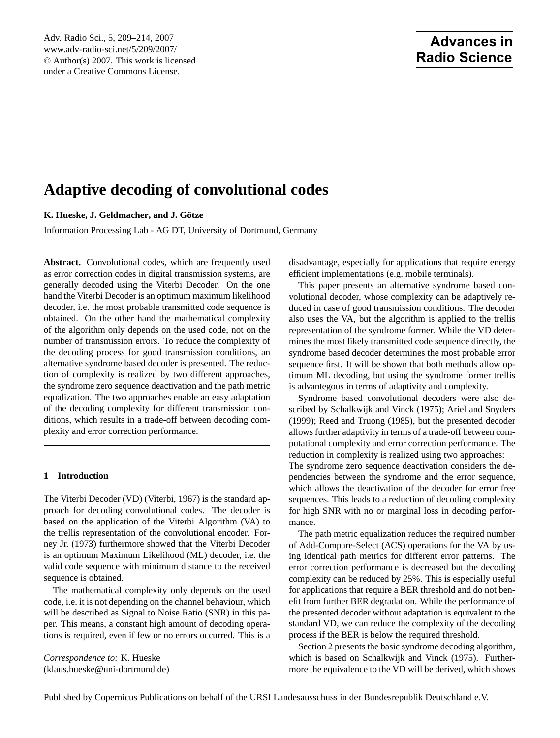# **Advances in Radio Science**

# <span id="page-0-0"></span>**Adaptive decoding of convolutional codes**

**K. Hueske, J. Geldmacher, and J. Gotze ¨**

Information Processing Lab - AG DT, University of Dortmund, Germany

**Abstract.** Convolutional codes, which are frequently used as error correction codes in digital transmission systems, are generally decoded using the Viterbi Decoder. On the one hand the Viterbi Decoder is an optimum maximum likelihood decoder, i.e. the most probable transmitted code sequence is obtained. On the other hand the mathematical complexity of the algorithm only depends on the used code, not on the number of transmission errors. To reduce the complexity of the decoding process for good transmission conditions, an alternative syndrome based decoder is presented. The reduction of complexity is realized by two different approaches, the syndrome zero sequence deactivation and the path metric equalization. The two approaches enable an easy adaptation of the decoding complexity for different transmission conditions, which results in a trade-off between decoding complexity and error correction performance.

# **1 Introduction**

The Viterbi Decoder (VD) [\(Viterbi,](#page-5-0) [1967\)](#page-5-0) is the standard approach for decoding convolutional codes. The decoder is based on the application of the Viterbi Algorithm (VA) to the trellis representation of the convolutional encoder. [For](#page-5-1)[ney Jr.](#page-5-1) [\(1973\)](#page-5-1) furthermore showed that the Viterbi Decoder is an optimum Maximum Likelihood (ML) decoder, i.e. the valid code sequence with minimum distance to the received sequence is obtained.

The mathematical complexity only depends on the used code, i.e. it is not depending on the channel behaviour, which will be described as Signal to Noise Ratio (SNR) in this paper. This means, a constant high amount of decoding operations is required, even if few or no errors occurred. This is a

*Correspondence to:* K. Hueske

(klaus.hueske@uni-dortmund.de)

disadvantage, especially for applications that require energy efficient implementations (e.g. mobile terminals).

This paper presents an alternative syndrome based convolutional decoder, whose complexity can be adaptively reduced in case of good transmission conditions. The decoder also uses the VA, but the algorithm is applied to the trellis representation of the syndrome former. While the VD determines the most likely transmitted code sequence directly, the syndrome based decoder determines the most probable error sequence first. It will be shown that both methods allow optimum ML decoding, but using the syndrome former trellis is advantegous in terms of adaptivity and complexity.

Syndrome based convolutional decoders were also described by [Schalkwijk and Vinck](#page-5-2) [\(1975\)](#page-5-2); [Ariel and Snyders](#page-5-3) [\(1999\)](#page-5-3); [Reed and Truong](#page-5-4) [\(1985\)](#page-5-4), but the presented decoder allows further adaptivity in terms of a trade-off between computational complexity and error correction performance. The reduction in complexity is realized using two approaches: The syndrome zero sequence deactivation considers the dependencies between the syndrome and the error sequence, which allows the deactivation of the decoder for error free sequences. This leads to a reduction of decoding complexity for high SNR with no or marginal loss in decoding performance.

The path metric equalization reduces the required number of Add-Compare-Select (ACS) operations for the VA by using identical path metrics for different error patterns. The error correction performance is decreased but the decoding complexity can be reduced by 25%. This is especially useful for applications that require a BER threshold and do not benefit from further BER degradation. While the performance of the presented decoder without adaptation is equivalent to the standard VD, we can reduce the complexity of the decoding process if the BER is below the required threshold.

Section 2 presents the basic syndrome decoding algorithm, which is based on [Schalkwijk and Vinck](#page-5-2) [\(1975\)](#page-5-2). Furthermore the equivalence to the VD will be derived, which shows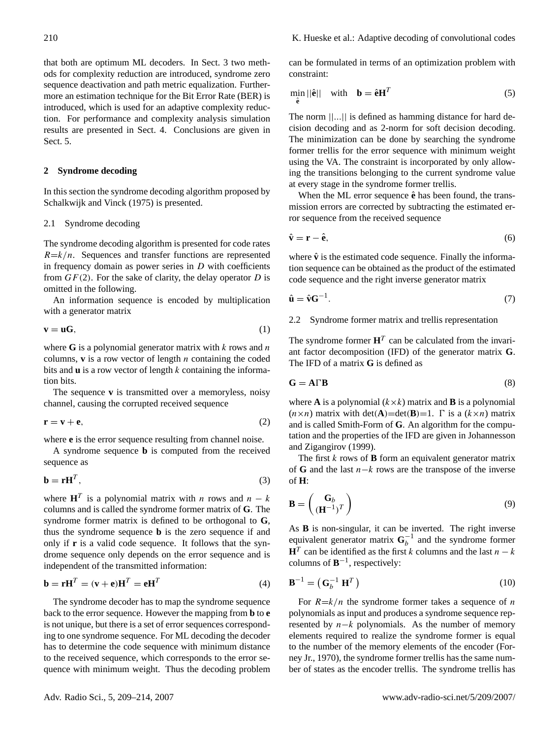that both are optimum ML decoders. In Sect. 3 two methods for complexity reduction are introduced, syndrome zero sequence deactivation and path metric equalization. Furthermore an estimation technique for the Bit Error Rate (BER) is introduced, which is used for an adaptive complexity reduction. For performance and complexity analysis simulation results are presented in Sect. 4. Conclusions are given in Sect. 5.

#### **2 Syndrome decoding**

In this section the syndrome decoding algorithm proposed by [Schalkwijk and Vinck](#page-5-2) [\(1975\)](#page-5-2) is presented.

#### 2.1 Syndrome decoding

The syndrome decoding algorithm is presented for code rates  $R=k/n$ . Sequences and transfer functions are represented in frequency domain as power series in  $D$  with coefficients from  $GF(2)$ . For the sake of clarity, the delay operator D is omitted in the following.

An information sequence is encoded by multiplication with a generator matrix

$$
\mathbf{v} = \mathbf{u}\mathbf{G},\tag{1}
$$

where  $G$  is a polynomial generator matrix with  $k$  rows and  $n$ columns,  $\bf{v}$  is a row vector of length  $n$  containing the coded bits and **u** is a row vector of length k containing the information bits.

The sequence **v** is transmitted over a memoryless, noisy channel, causing the corrupted received sequence

$$
\mathbf{r} = \mathbf{v} + \mathbf{e},\tag{2}
$$

where **e** is the error sequence resulting from channel noise.

A syndrome sequence **b** is computed from the received sequence as

<span id="page-1-1"></span>
$$
\mathbf{b} = \mathbf{r} \mathbf{H}^T,\tag{3}
$$

where  $\mathbf{H}^T$  is a polynomial matrix with *n* rows and  $n - k$ columns and is called the syndrome former matrix of **G**. The syndrome former matrix is defined to be orthogonal to **G**, thus the syndrome sequence **b** is the zero sequence if and only if **r** is a valid code sequence. It follows that the syndrome sequence only depends on the error sequence and is independent of the transmitted information:

<span id="page-1-3"></span>
$$
\mathbf{b} = \mathbf{r} \mathbf{H}^T = (\mathbf{v} + \mathbf{e}) \mathbf{H}^T = \mathbf{e} \mathbf{H}^T
$$
 (4)

The syndrome decoder has to map the syndrome sequence back to the error sequence. However the mapping from **b** to **e** is not unique, but there is a set of error sequences corresponding to one syndrome sequence. For ML decoding the decoder has to determine the code sequence with minimum distance to the received sequence, which corresponds to the error sequence with minimum weight. Thus the decoding problem can be formulated in terms of an optimization problem with constraint:

<span id="page-1-0"></span>
$$
\min_{\hat{\mathbf{e}}} ||\hat{\mathbf{e}}|| \quad \text{with} \quad \mathbf{b} = \hat{\mathbf{e}} \mathbf{H}^T \tag{5}
$$

The norm  $||...||$  is defined as hamming distance for hard decision decoding and as 2-norm for soft decision decoding. The minimization can be done by searching the syndrome former trellis for the error sequence with minimum weight using the VA. The constraint is incorporated by only allowing the transitions belonging to the current syndrome value at every stage in the syndrome former trellis.

When the ML error sequence  $\hat{\mathbf{e}}$  has been found, the transmission errors are corrected by subtracting the estimated error sequence from the received sequence

$$
\hat{\mathbf{v}} = \mathbf{r} - \hat{\mathbf{e}},\tag{6}
$$

where  $\hat{v}$  is the estimated code sequence. Finally the information sequence can be obtained as the product of the estimated code sequence and the right inverse generator matrix

<span id="page-1-2"></span>
$$
\hat{\mathbf{u}} = \hat{\mathbf{v}} \mathbf{G}^{-1}.
$$
 (7)

2.2 Syndrome former matrix and trellis representation

The syndrome former  $H<sup>T</sup>$  can be calculated from the invariant factor decomposition (IFD) of the generator matrix **G**. The IFD of a matrix **G** is defined as

$$
\mathbf{G} = \mathbf{A} \Gamma \mathbf{B} \tag{8}
$$

where **A** is a polynomial  $(k \times k)$  matrix and **B** is a polynomial  $(n \times n)$  matrix with det(**A**)=det(**B**)=1.  $\Gamma$  is a ( $k \times n$ ) matrix and is called Smith-Form of **G**. An algorithm for the computation and the properties of the IFD are given in [Johannesson](#page-5-5) [and Zigangirov](#page-5-5) [\(1999\)](#page-5-5).

The first  $k$  rows of **B** form an equivalent generator matrix of **G** and the last n−k rows are the transpose of the inverse of **H**:

$$
\mathbf{B} = \begin{pmatrix} \mathbf{G}_b \\ (\mathbf{H}^{-1})^T \end{pmatrix} \tag{9}
$$

As **B** is non-singular, it can be inverted. The right inverse equivalent generator matrix  $G_b^{-1}$  and the syndrome former  $\mathbf{H}^T$  can be identified as the first k columns and the last  $n - k$ columns of  $\mathbf{B}^{-1}$ , respectively:

$$
\mathbf{B}^{-1} = \left(\mathbf{G}_b^{-1} \ \mathbf{H}^T\right) \tag{10}
$$

For  $R=k/n$  the syndrome former takes a sequence of n polynomials as input and produces a syndrome sequence represented by  $n-k$  polynomials. As the number of memory elements required to realize the syndrome former is equal to the number of the memory elements of the encoder [\(For](#page-5-6)[ney Jr.,](#page-5-6) [1970\)](#page-5-6), the syndrome former trellis has the same number of states as the encoder trellis. The syndrome trellis has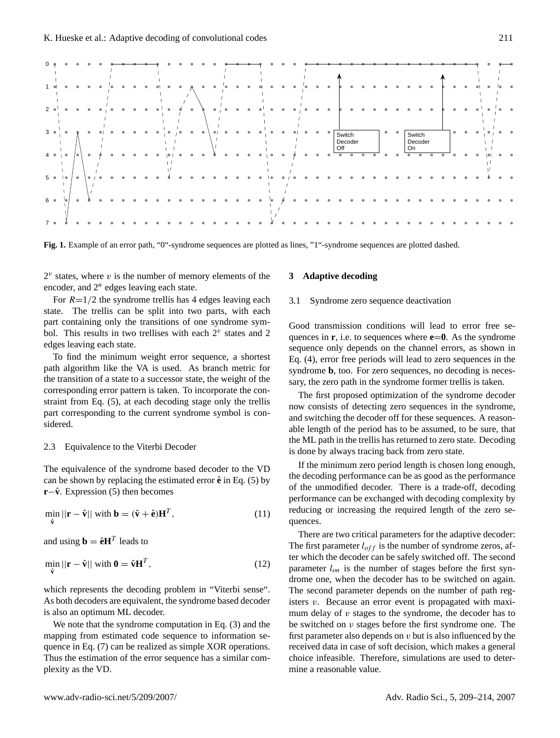

<span id="page-2-0"></span>**Fig. 1.** Example of an error path, "0"-syndrome sequences are plotted as lines, "1"-syndrome sequences are plotted dashed.

 $2^v$  states, where  $v$  is the number of memory elements of the encoder, and  $2^n$  edges leaving each state.

For  $R=1/2$  the syndrome trellis has 4 edges leaving each state. The trellis can be split into two parts, with each part containing only the transitions of one syndrome symbol. This results in two trellises with each  $2^v$  states and 2 edges leaving each state.

To find the minimum weight error sequence, a shortest path algorithm like the VA is used. As branch metric for the transition of a state to a successor state, the weight of the corresponding error pattern is taken. To incorporate the constraint from Eq. [\(5\)](#page-1-0), at each decoding stage only the trellis part corresponding to the current syndrome symbol is considered.

#### 2.3 Equivalence to the Viterbi Decoder

The equivalence of the syndrome based decoder to the VD can be shown by replacing the estimated error  $\hat{\mathbf{e}}$  in Eq. [\(5\)](#page-1-0) by **r**− $\hat{v}$ . Expression [\(5\)](#page-1-0) then becomes

$$
\min_{\hat{\mathbf{v}}} ||\mathbf{r} - \hat{\mathbf{v}}|| \text{ with } \mathbf{b} = (\hat{\mathbf{v}} + \hat{\mathbf{e}})\mathbf{H}^T,
$$
\n(11)

and using  $\mathbf{b} = \hat{\mathbf{e}} \mathbf{H}^T$  leads to

$$
\min_{\hat{\mathbf{v}}} ||\mathbf{r} - \hat{\mathbf{v}}|| \text{ with } \mathbf{0} = \hat{\mathbf{v}} \mathbf{H}^T,
$$
\n(12)

which represents the decoding problem in "Viterbi sense". As both decoders are equivalent, the syndrome based decoder is also an optimum ML decoder.

We note that the syndrome computation in Eq. [\(3\)](#page-1-1) and the mapping from estimated code sequence to information sequence in Eq. [\(7\)](#page-1-2) can be realized as simple XOR operations. Thus the estimation of the error sequence has a similar complexity as the VD.

# **3 Adaptive decoding**

### 3.1 Syndrome zero sequence deactivation

Good transmission conditions will lead to error free sequences in  $\bf{r}$ , i.e. to sequences where  $\bf{e}$ = $\bf{0}$ . As the syndrome sequence only depends on the channel errors, as shown in Eq. [\(4\)](#page-1-3), error free periods will lead to zero sequences in the syndrome **b**, too. For zero sequences, no decoding is necessary, the zero path in the syndrome former trellis is taken.

The first proposed optimization of the syndrome decoder now consists of detecting zero sequences in the syndrome, and switching the decoder off for these sequences. A reasonable length of the period has to be assumed, to be sure, that the ML path in the trellis has returned to zero state. Decoding is done by always tracing back from zero state.

If the minimum zero period length is chosen long enough, the decoding performance can be as good as the performance of the unmodified decoder. There is a trade-off, decoding performance can be exchanged with decoding complexity by reducing or increasing the required length of the zero sequences.

There are two critical parameters for the adaptive decoder: The first parameter  $l_{off}$  is the number of syndrome zeros, after which the decoder can be safely switched off. The second parameter  $l_{on}$  is the number of stages before the first syndrome one, when the decoder has to be switched on again. The second parameter depends on the number of path registers v. Because an error event is propagated with maximum delay of  $v$  stages to the syndrome, the decoder has to be switched on  $v$  stages before the first syndrome one. The first parameter also depends on  $v$  but is also influenced by the received data in case of soft decision, which makes a general choice infeasible. Therefore, simulations are used to determine a reasonable value.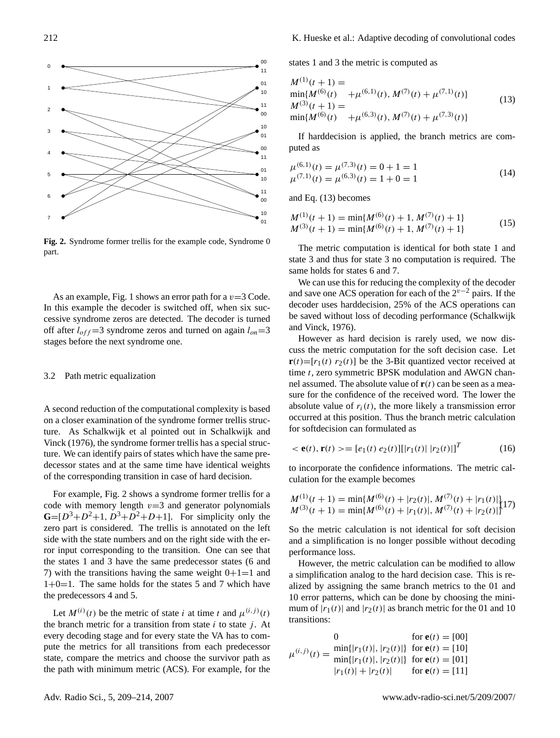

<span id="page-3-0"></span>**Fig. 2.** Syndrome former trellis for the example code, Syndrome 0 part.

As an example, Fig. [1](#page-2-0) shows an error path for a  $v=3$  Code. In this example the decoder is switched off, when six successive syndrome zeros are detected. The decoder is turned off after  $l_{off} = 3$  syndrome zeros and turned on again  $l_{on} = 3$ stages before the next syndrome one.

### 3.2 Path metric equalization

A second reduction of the computational complexity is based on a closer examination of the syndrome former trellis structure. As Schalkwijk et al pointed out in [Schalkwijk and](#page-5-7) [Vinck](#page-5-7) [\(1976\)](#page-5-7), the syndrome former trellis has a special structure. We can identify pairs of states which have the same predecessor states and at the same time have identical weights of the corresponding transition in case of hard decision.

For example, Fig. [2](#page-3-0) shows a syndrome former trellis for a code with memory length  $v=3$  and generator polynomials  $G=[D^3+D^2+1, D^3+D^2+D+1]$ . For simplicity only the zero part is considered. The trellis is annotated on the left side with the state numbers and on the right side with the error input corresponding to the transition. One can see that the states 1 and 3 have the same predecessor states (6 and 7) with the transitions having the same weight  $0+1=1$  and  $1+0=1$ . The same holds for the states 5 and 7 which have the predecessors 4 and 5.

Let  $M^{(i)}(t)$  be the metric of state i at time t and  $\mu^{(i,j)}(t)$ the branch metric for a transition from state  $i$  to state  $j$ . At every decoding stage and for every state the VA has to compute the metrics for all transitions from each predecessor state, compare the metrics and choose the survivor path as the path with minimum metric (ACS). For example, for the

states 1 and 3 the metric is computed as

<span id="page-3-1"></span>
$$
M^{(1)}(t+1) =
$$
  
\n
$$
\min\{M^{(6)}(t) + \mu^{(6,1)}(t), M^{(7)}(t) + \mu^{(7,1)}(t)\}
$$
  
\n
$$
M^{(3)}(t+1) =
$$
  
\n
$$
\min\{M^{(6)}(t) + \mu^{(6,3)}(t), M^{(7)}(t) + \mu^{(7,3)}(t)\}
$$
\n(13)

If harddecision is applied, the branch metrics are computed as

$$
\mu^{(6,1)}(t) = \mu^{(7,3)}(t) = 0 + 1 = 1
$$
  
\n
$$
\mu^{(7,1)}(t) = \mu^{(6,3)}(t) = 1 + 0 = 1
$$
\n(14)

and Eq. [\(13\)](#page-3-1) becomes

$$
M^{(1)}(t+1) = \min\{M^{(6)}(t) + 1, M^{(7)}(t) + 1\}
$$
  
\n
$$
M^{(3)}(t+1) = \min\{M^{(6)}(t) + 1, M^{(7)}(t) + 1\}
$$
\n(15)

The metric computation is identical for both state 1 and state 3 and thus for state 3 no computation is required. The same holds for states 6 and 7.

We can use this for reducing the complexity of the decoder and save one ACS operation for each of the  $2^{v-2}$  pairs. If the decoder uses harddecision, 25% of the ACS operations can be saved without loss of decoding performance [\(Schalkwijk](#page-5-7) [and Vinck,](#page-5-7) [1976\)](#page-5-7).

However as hard decision is rarely used, we now discuss the metric computation for the soft decision case. Let  $\mathbf{r}(t)=[r_1(t) \ r_2(t)]$  be the 3-Bit quantized vector received at time t, zero symmetric BPSK modulation and AWGN channel assumed. The absolute value of  $r(t)$  can be seen as a measure for the confidence of the received word. The lower the absolute value of  $r_i(t)$ , the more likely a transmission error occurred at this position. Thus the branch metric calculation for softdecision can formulated as

$$
\langle \mathbf{e}(t), \mathbf{r}(t) \rangle = [e_1(t) \; e_2(t)][|r_1(t)| \; |r_2(t)|]^T \tag{16}
$$

to incorporate the confidence informations. The metric calculation for the example becomes

$$
M^{(1)}(t+1) = \min\{M^{(6)}(t) + |r_2(t)|, M^{(7)}(t) + |r_1(t)|\}
$$
  

$$
M^{(3)}(t+1) = \min\{M^{(6)}(t) + |r_1(t)|, M^{(7)}(t) + |r_2(t)|\}
$$

So the metric calculation is not identical for soft decision and a simplification is no longer possible without decoding performance loss.

However, the metric calculation can be modified to allow a simplification analog to the hard decision case. This is realized by assigning the same branch metrics to the 01 and 10 error patterns, which can be done by choosing the minimum of  $|r_1(t)|$  and  $|r_2(t)|$  as branch metric for the 01 and 10 transitions:

$$
\mu^{(i,j)}(t) = \frac{\min\{|r_1(t)|, |r_2(t)|\}}{\min\{|r_1(t)|, |r_2(t)|\}} \text{ for } \mathbf{e}(t) = [10]
$$
\n
$$
|r_1(t)| + |r_2(t)| \quad \text{ for } \mathbf{e}(t) = [01]
$$
\n
$$
|r_1(t)| + |r_2(t)| \quad \text{ for } \mathbf{e}(t) = [11]
$$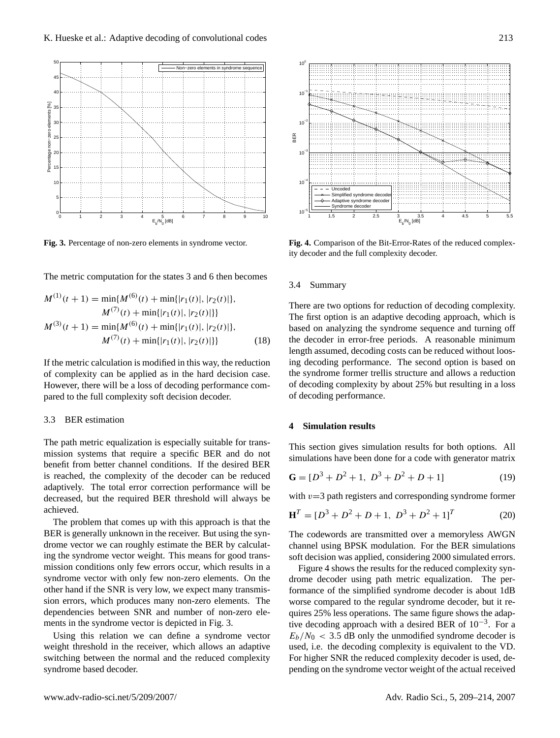

<span id="page-4-0"></span>**Fig. 3.** Percentage of non-zero elements in syndrome vector.

The metric computation for the states 3 and 6 then becomes

$$
M^{(1)}(t+1) = \min\{M^{(6)}(t) + \min\{|r_1(t)|, |r_2(t)|\},\
$$

$$
M^{(7)}(t) + \min\{|r_1(t)|, |r_2(t)|\}\}
$$

$$
M^{(3)}(t+1) = \min\{M^{(6)}(t) + \min\{|r_1(t)|, |r_2(t)|\},\
$$

$$
M^{(7)}(t) + \min\{|r_1(t)|, |r_2(t)|\}\}
$$
(18)

If the metric calculation is modified in this way, the reduction of complexity can be applied as in the hard decision case. However, there will be a loss of decoding performance compared to the full complexity soft decision decoder.

#### 3.3 BER estimation

The path metric equalization is especially suitable for transmission systems that require a specific BER and do not benefit from better channel conditions. If the desired BER is reached, the complexity of the decoder can be reduced adaptively. The total error correction performance will be decreased, but the required BER threshold will always be achieved.

The problem that comes up with this approach is that the BER is generally unknown in the receiver. But using the syndrome vector we can roughly estimate the BER by calculating the syndrome vector weight. This means for good transmission conditions only few errors occur, which results in a syndrome vector with only few non-zero elements. On the other hand if the SNR is very low, we expect many transmission errors, which produces many non-zero elements. The dependencies between SNR and number of non-zero elements in the syndrome vector is depicted in Fig. [3.](#page-4-0)

Using this relation we can define a syndrome vector weight threshold in the receiver, which allows an adaptive switching between the normal and the reduced complexity syndrome based decoder.



<span id="page-4-1"></span>**Fig. 4.** Comparison of the Bit-Error-Rates of the reduced complexity decoder and the full complexity decoder.

#### 3.4 Summary

There are two options for reduction of decoding complexity. The first option is an adaptive decoding approach, which is based on analyzing the syndrome sequence and turning off the decoder in error-free periods. A reasonable minimum length assumed, decoding costs can be reduced without loosing decoding performance. The second option is based on the syndrome former trellis structure and allows a reduction of decoding complexity by about 25% but resulting in a loss of decoding performance.

# **4 Simulation results**

This section gives simulation results for both options. All simulations have been done for a code with generator matrix

$$
\mathbf{G} = [D^3 + D^2 + 1, D^3 + D^2 + D + 1] \tag{19}
$$

with  $v=3$  path registers and corresponding syndrome former

$$
\mathbf{H}^{T} = [D^{3} + D^{2} + D + 1, D^{3} + D^{2} + 1]^{T}
$$
 (20)

The codewords are transmitted over a memoryless AWGN channel using BPSK modulation. For the BER simulations soft decision was applied, considering 2000 simulated errors.

Figure [4](#page-4-1) shows the results for the reduced complexity syndrome decoder using path metric equalization. The performance of the simplified syndrome decoder is about 1dB worse compared to the regular syndrome decoder, but it requires 25% less operations. The same figure shows the adaptive decoding approach with a desired BER of 10−<sup>3</sup> . For a  $E_b/N_0 < 3.5$  dB only the unmodified syndrome decoder is used, i.e. the decoding complexity is equivalent to the VD. For higher SNR the reduced complexity decoder is used, depending on the syndrome vector weight of the actual received